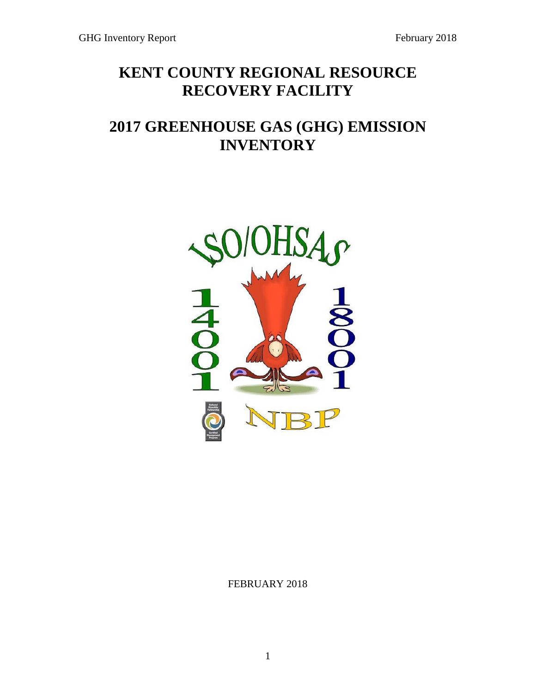# **KENT COUNTY REGIONAL RESOURCE RECOVERY FACILITY**

# **2017 GREENHOUSE GAS (GHG) EMISSION INVENTORY**



FEBRUARY 2018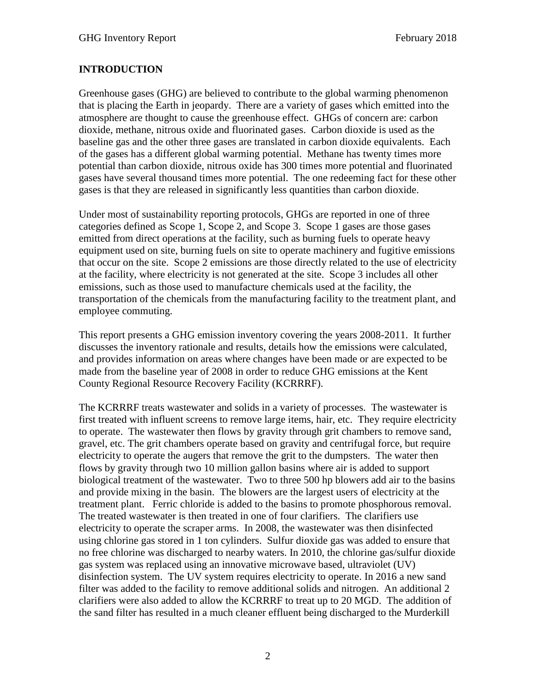## **INTRODUCTION**

Greenhouse gases (GHG) are believed to contribute to the global warming phenomenon that is placing the Earth in jeopardy. There are a variety of gases which emitted into the atmosphere are thought to cause the greenhouse effect. GHGs of concern are: carbon dioxide, methane, nitrous oxide and fluorinated gases. Carbon dioxide is used as the baseline gas and the other three gases are translated in carbon dioxide equivalents. Each of the gases has a different global warming potential. Methane has twenty times more potential than carbon dioxide, nitrous oxide has 300 times more potential and fluorinated gases have several thousand times more potential. The one redeeming fact for these other gases is that they are released in significantly less quantities than carbon dioxide.

Under most of sustainability reporting protocols, GHGs are reported in one of three categories defined as Scope 1, Scope 2, and Scope 3. Scope 1 gases are those gases emitted from direct operations at the facility, such as burning fuels to operate heavy equipment used on site, burning fuels on site to operate machinery and fugitive emissions that occur on the site. Scope 2 emissions are those directly related to the use of electricity at the facility, where electricity is not generated at the site. Scope 3 includes all other emissions, such as those used to manufacture chemicals used at the facility, the transportation of the chemicals from the manufacturing facility to the treatment plant, and employee commuting.

This report presents a GHG emission inventory covering the years 2008-2011. It further discusses the inventory rationale and results, details how the emissions were calculated, and provides information on areas where changes have been made or are expected to be made from the baseline year of 2008 in order to reduce GHG emissions at the Kent County Regional Resource Recovery Facility (KCRRRF).

The KCRRRF treats wastewater and solids in a variety of processes. The wastewater is first treated with influent screens to remove large items, hair, etc. They require electricity to operate. The wastewater then flows by gravity through grit chambers to remove sand, gravel, etc. The grit chambers operate based on gravity and centrifugal force, but require electricity to operate the augers that remove the grit to the dumpsters. The water then flows by gravity through two 10 million gallon basins where air is added to support biological treatment of the wastewater. Two to three 500 hp blowers add air to the basins and provide mixing in the basin. The blowers are the largest users of electricity at the treatment plant. Ferric chloride is added to the basins to promote phosphorous removal. The treated wastewater is then treated in one of four clarifiers. The clarifiers use electricity to operate the scraper arms. In 2008, the wastewater was then disinfected using chlorine gas stored in 1 ton cylinders. Sulfur dioxide gas was added to ensure that no free chlorine was discharged to nearby waters. In 2010, the chlorine gas/sulfur dioxide gas system was replaced using an innovative microwave based, ultraviolet (UV) disinfection system. The UV system requires electricity to operate. In 2016 a new sand filter was added to the facility to remove additional solids and nitrogen. An additional 2 clarifiers were also added to allow the KCRRRF to treat up to 20 MGD. The addition of the sand filter has resulted in a much cleaner effluent being discharged to the Murderkill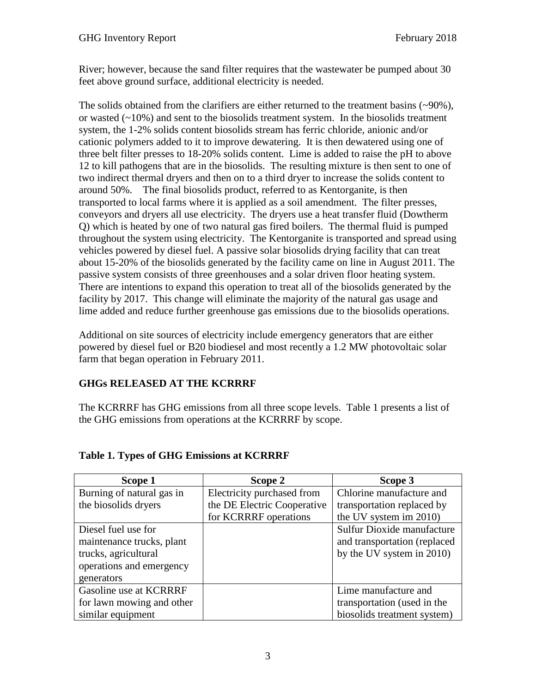River; however, because the sand filter requires that the wastewater be pumped about 30 feet above ground surface, additional electricity is needed.

The solids obtained from the clarifiers are either returned to the treatment basins (~90%), or wasted  $(-10\%)$  and sent to the biosolids treatment system. In the biosolids treatment system, the 1-2% solids content biosolids stream has ferric chloride, anionic and/or cationic polymers added to it to improve dewatering. It is then dewatered using one of three belt filter presses to 18-20% solids content. Lime is added to raise the pH to above 12 to kill pathogens that are in the biosolids. The resulting mixture is then sent to one of two indirect thermal dryers and then on to a third dryer to increase the solids content to around 50%. The final biosolids product, referred to as Kentorganite, is then transported to local farms where it is applied as a soil amendment. The filter presses, conveyors and dryers all use electricity. The dryers use a heat transfer fluid (Dowtherm Q) which is heated by one of two natural gas fired boilers. The thermal fluid is pumped throughout the system using electricity. The Kentorganite is transported and spread using vehicles powered by diesel fuel. A passive solar biosolids drying facility that can treat about 15-20% of the biosolids generated by the facility came on line in August 2011. The passive system consists of three greenhouses and a solar driven floor heating system. There are intentions to expand this operation to treat all of the biosolids generated by the facility by 2017. This change will eliminate the majority of the natural gas usage and lime added and reduce further greenhouse gas emissions due to the biosolids operations.

Additional on site sources of electricity include emergency generators that are either powered by diesel fuel or B20 biodiesel and most recently a 1.2 MW photovoltaic solar farm that began operation in February 2011.

## **GHGs RELEASED AT THE KCRRRF**

The KCRRRF has GHG emissions from all three scope levels. Table 1 presents a list of the GHG emissions from operations at the KCRRRF by scope.

| Scope 1                   | Scope 2                     | Scope 3                      |
|---------------------------|-----------------------------|------------------------------|
| Burning of natural gas in | Electricity purchased from  | Chlorine manufacture and     |
| the biosolids dryers      | the DE Electric Cooperative | transportation replaced by   |
|                           | for KCRRRF operations       | the UV system im 2010)       |
| Diesel fuel use for       |                             | Sulfur Dioxide manufacture   |
| maintenance trucks, plant |                             | and transportation (replaced |
| trucks, agricultural      |                             | by the UV system in 2010)    |
| operations and emergency  |                             |                              |
| generators                |                             |                              |
| Gasoline use at KCRRRF    |                             | Lime manufacture and         |
| for lawn mowing and other |                             | transportation (used in the  |
| similar equipment         |                             | biosolids treatment system)  |

## **Table 1. Types of GHG Emissions at KCRRRF**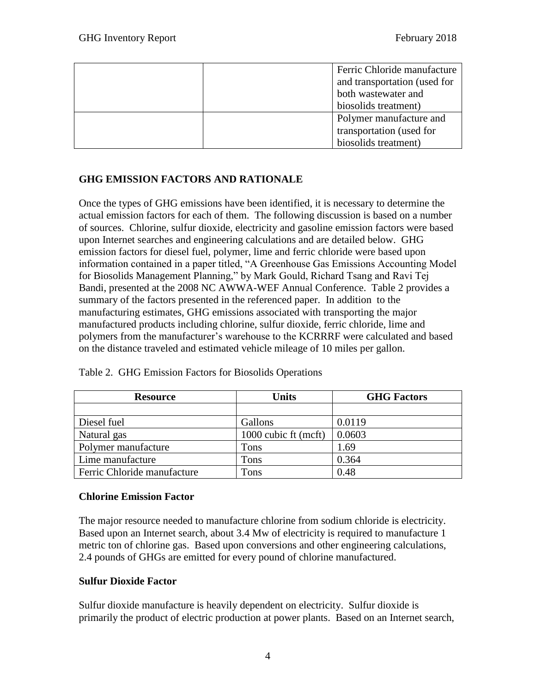| Ferric Chloride manufacture  |
|------------------------------|
| and transportation (used for |
| both wastewater and          |
| biosolids treatment)         |
| Polymer manufacture and      |
| transportation (used for     |
| biosolids treatment)         |

## **GHG EMISSION FACTORS AND RATIONALE**

Once the types of GHG emissions have been identified, it is necessary to determine the actual emission factors for each of them. The following discussion is based on a number of sources. Chlorine, sulfur dioxide, electricity and gasoline emission factors were based upon Internet searches and engineering calculations and are detailed below. GHG emission factors for diesel fuel, polymer, lime and ferric chloride were based upon information contained in a paper titled, "A Greenhouse Gas Emissions Accounting Model for Biosolids Management Planning," by Mark Gould, Richard Tsang and Ravi Tej Bandi, presented at the 2008 NC AWWA-WEF Annual Conference. Table 2 provides a summary of the factors presented in the referenced paper. In addition to the manufacturing estimates, GHG emissions associated with transporting the major manufactured products including chlorine, sulfur dioxide, ferric chloride, lime and polymers from the manufacturer's warehouse to the KCRRRF were calculated and based on the distance traveled and estimated vehicle mileage of 10 miles per gallon.

| <b>Resource</b>             | <b>Units</b>         | <b>GHG Factors</b> |
|-----------------------------|----------------------|--------------------|
|                             |                      |                    |
| Diesel fuel                 | Gallons              | 0.0119             |
| Natural gas                 | 1000 cubic ft (mcft) | 0.0603             |
| Polymer manufacture         | Tons                 | 1.69               |
| Lime manufacture            | Tons                 | 0.364              |
| Ferric Chloride manufacture | Tons                 | 0.48               |

Table 2. GHG Emission Factors for Biosolids Operations

#### **Chlorine Emission Factor**

The major resource needed to manufacture chlorine from sodium chloride is electricity. Based upon an Internet search, about 3.4 Mw of electricity is required to manufacture 1 metric ton of chlorine gas. Based upon conversions and other engineering calculations, 2.4 pounds of GHGs are emitted for every pound of chlorine manufactured.

#### **Sulfur Dioxide Factor**

Sulfur dioxide manufacture is heavily dependent on electricity. Sulfur dioxide is primarily the product of electric production at power plants. Based on an Internet search,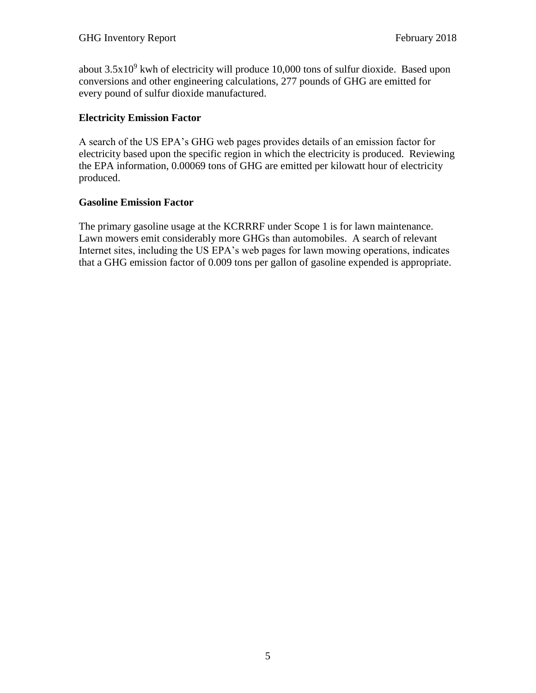about  $3.5x10<sup>9</sup>$  kwh of electricity will produce 10,000 tons of sulfur dioxide. Based upon conversions and other engineering calculations, 277 pounds of GHG are emitted for every pound of sulfur dioxide manufactured.

#### **Electricity Emission Factor**

A search of the US EPA's GHG web pages provides details of an emission factor for electricity based upon the specific region in which the electricity is produced. Reviewing the EPA information, 0.00069 tons of GHG are emitted per kilowatt hour of electricity produced.

#### **Gasoline Emission Factor**

The primary gasoline usage at the KCRRRF under Scope 1 is for lawn maintenance. Lawn mowers emit considerably more GHGs than automobiles. A search of relevant Internet sites, including the US EPA's web pages for lawn mowing operations, indicates that a GHG emission factor of 0.009 tons per gallon of gasoline expended is appropriate.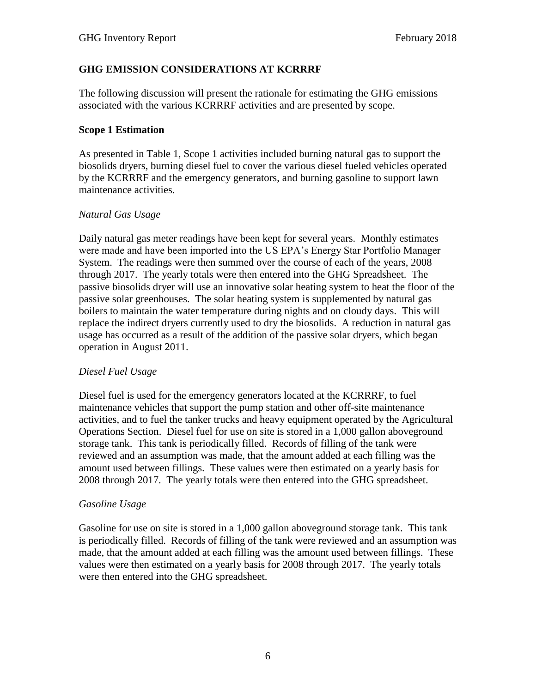## **GHG EMISSION CONSIDERATIONS AT KCRRRF**

The following discussion will present the rationale for estimating the GHG emissions associated with the various KCRRRF activities and are presented by scope.

#### **Scope 1 Estimation**

As presented in Table 1, Scope 1 activities included burning natural gas to support the biosolids dryers, burning diesel fuel to cover the various diesel fueled vehicles operated by the KCRRRF and the emergency generators, and burning gasoline to support lawn maintenance activities.

#### *Natural Gas Usage*

Daily natural gas meter readings have been kept for several years. Monthly estimates were made and have been imported into the US EPA's Energy Star Portfolio Manager System. The readings were then summed over the course of each of the years, 2008 through 2017. The yearly totals were then entered into the GHG Spreadsheet. The passive biosolids dryer will use an innovative solar heating system to heat the floor of the passive solar greenhouses. The solar heating system is supplemented by natural gas boilers to maintain the water temperature during nights and on cloudy days. This will replace the indirect dryers currently used to dry the biosolids. A reduction in natural gas usage has occurred as a result of the addition of the passive solar dryers, which began operation in August 2011.

#### *Diesel Fuel Usage*

Diesel fuel is used for the emergency generators located at the KCRRRF, to fuel maintenance vehicles that support the pump station and other off-site maintenance activities, and to fuel the tanker trucks and heavy equipment operated by the Agricultural Operations Section. Diesel fuel for use on site is stored in a 1,000 gallon aboveground storage tank. This tank is periodically filled. Records of filling of the tank were reviewed and an assumption was made, that the amount added at each filling was the amount used between fillings. These values were then estimated on a yearly basis for 2008 through 2017. The yearly totals were then entered into the GHG spreadsheet.

#### *Gasoline Usage*

Gasoline for use on site is stored in a 1,000 gallon aboveground storage tank. This tank is periodically filled. Records of filling of the tank were reviewed and an assumption was made, that the amount added at each filling was the amount used between fillings. These values were then estimated on a yearly basis for 2008 through 2017. The yearly totals were then entered into the GHG spreadsheet.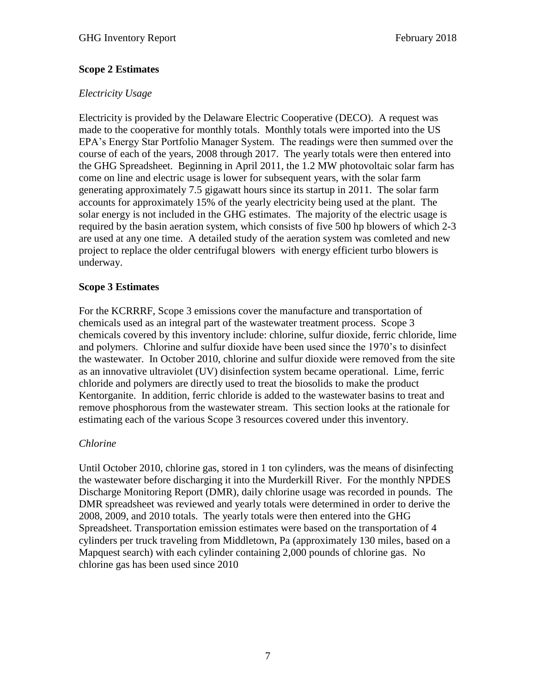#### **Scope 2 Estimates**

#### *Electricity Usage*

Electricity is provided by the Delaware Electric Cooperative (DECO). A request was made to the cooperative for monthly totals. Monthly totals were imported into the US EPA's Energy Star Portfolio Manager System. The readings were then summed over the course of each of the years, 2008 through 2017. The yearly totals were then entered into the GHG Spreadsheet. Beginning in April 2011, the 1.2 MW photovoltaic solar farm has come on line and electric usage is lower for subsequent years, with the solar farm generating approximately 7.5 gigawatt hours since its startup in 2011. The solar farm accounts for approximately 15% of the yearly electricity being used at the plant. The solar energy is not included in the GHG estimates. The majority of the electric usage is required by the basin aeration system, which consists of five 500 hp blowers of which 2-3 are used at any one time. A detailed study of the aeration system was comleted and new project to replace the older centrifugal blowers with energy efficient turbo blowers is underway.

#### **Scope 3 Estimates**

For the KCRRRF, Scope 3 emissions cover the manufacture and transportation of chemicals used as an integral part of the wastewater treatment process. Scope 3 chemicals covered by this inventory include: chlorine, sulfur dioxide, ferric chloride, lime and polymers. Chlorine and sulfur dioxide have been used since the 1970's to disinfect the wastewater. In October 2010, chlorine and sulfur dioxide were removed from the site as an innovative ultraviolet (UV) disinfection system became operational. Lime, ferric chloride and polymers are directly used to treat the biosolids to make the product Kentorganite. In addition, ferric chloride is added to the wastewater basins to treat and remove phosphorous from the wastewater stream. This section looks at the rationale for estimating each of the various Scope 3 resources covered under this inventory.

#### *Chlorine*

Until October 2010, chlorine gas, stored in 1 ton cylinders, was the means of disinfecting the wastewater before discharging it into the Murderkill River. For the monthly NPDES Discharge Monitoring Report (DMR), daily chlorine usage was recorded in pounds. The DMR spreadsheet was reviewed and yearly totals were determined in order to derive the 2008, 2009, and 2010 totals. The yearly totals were then entered into the GHG Spreadsheet. Transportation emission estimates were based on the transportation of 4 cylinders per truck traveling from Middletown, Pa (approximately 130 miles, based on a Mapquest search) with each cylinder containing 2,000 pounds of chlorine gas. No chlorine gas has been used since 2010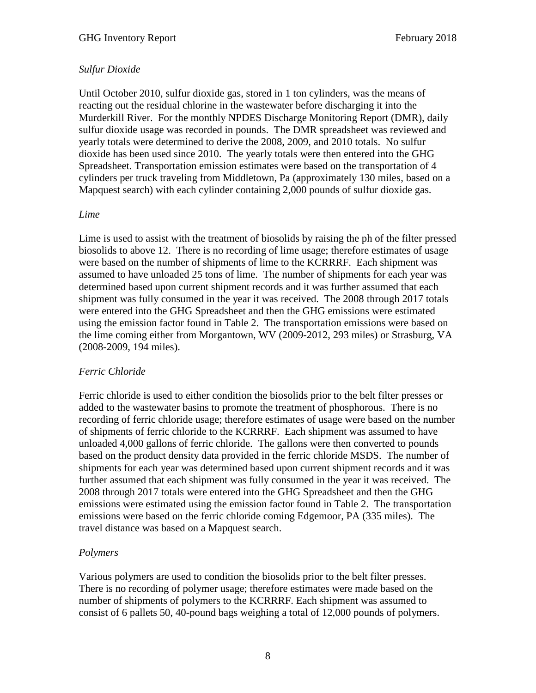## *Sulfur Dioxide*

Until October 2010, sulfur dioxide gas, stored in 1 ton cylinders, was the means of reacting out the residual chlorine in the wastewater before discharging it into the Murderkill River. For the monthly NPDES Discharge Monitoring Report (DMR), daily sulfur dioxide usage was recorded in pounds. The DMR spreadsheet was reviewed and yearly totals were determined to derive the 2008, 2009, and 2010 totals. No sulfur dioxide has been used since 2010. The yearly totals were then entered into the GHG Spreadsheet. Transportation emission estimates were based on the transportation of 4 cylinders per truck traveling from Middletown, Pa (approximately 130 miles, based on a Mapquest search) with each cylinder containing 2,000 pounds of sulfur dioxide gas.

#### *Lime*

Lime is used to assist with the treatment of biosolids by raising the ph of the filter pressed biosolids to above 12. There is no recording of lime usage; therefore estimates of usage were based on the number of shipments of lime to the KCRRRF. Each shipment was assumed to have unloaded 25 tons of lime. The number of shipments for each year was determined based upon current shipment records and it was further assumed that each shipment was fully consumed in the year it was received. The 2008 through 2017 totals were entered into the GHG Spreadsheet and then the GHG emissions were estimated using the emission factor found in Table 2. The transportation emissions were based on the lime coming either from Morgantown, WV (2009-2012, 293 miles) or Strasburg, VA (2008-2009, 194 miles).

## *Ferric Chloride*

Ferric chloride is used to either condition the biosolids prior to the belt filter presses or added to the wastewater basins to promote the treatment of phosphorous. There is no recording of ferric chloride usage; therefore estimates of usage were based on the number of shipments of ferric chloride to the KCRRRF. Each shipment was assumed to have unloaded 4,000 gallons of ferric chloride. The gallons were then converted to pounds based on the product density data provided in the ferric chloride MSDS. The number of shipments for each year was determined based upon current shipment records and it was further assumed that each shipment was fully consumed in the year it was received. The 2008 through 2017 totals were entered into the GHG Spreadsheet and then the GHG emissions were estimated using the emission factor found in Table 2. The transportation emissions were based on the ferric chloride coming Edgemoor, PA (335 miles). The travel distance was based on a Mapquest search.

## *Polymers*

Various polymers are used to condition the biosolids prior to the belt filter presses. There is no recording of polymer usage; therefore estimates were made based on the number of shipments of polymers to the KCRRRF. Each shipment was assumed to consist of 6 pallets 50, 40-pound bags weighing a total of 12,000 pounds of polymers.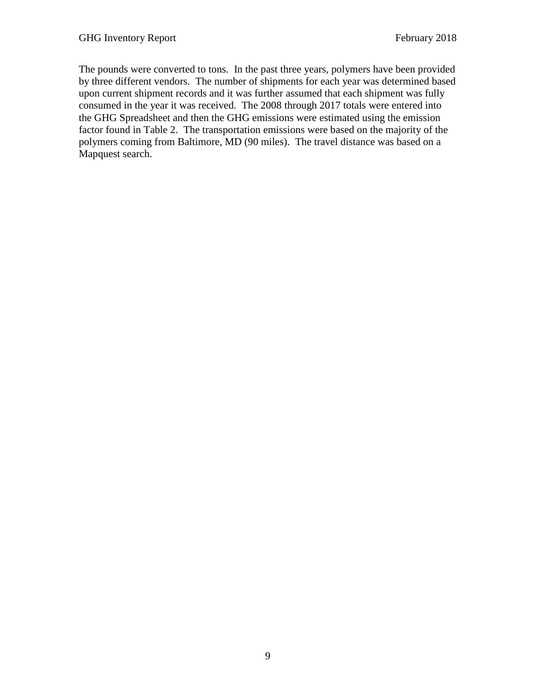The pounds were converted to tons. In the past three years, polymers have been provided by three different vendors. The number of shipments for each year was determined based upon current shipment records and it was further assumed that each shipment was fully consumed in the year it was received. The 2008 through 2017 totals were entered into the GHG Spreadsheet and then the GHG emissions were estimated using the emission factor found in Table 2. The transportation emissions were based on the majority of the polymers coming from Baltimore, MD (90 miles). The travel distance was based on a Mapquest search.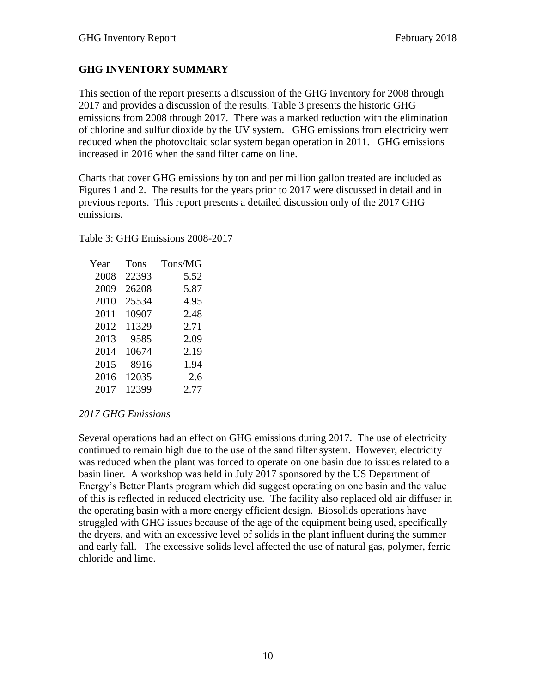## **GHG INVENTORY SUMMARY**

This section of the report presents a discussion of the GHG inventory for 2008 through 2017 and provides a discussion of the results. Table 3 presents the historic GHG emissions from 2008 through 2017. There was a marked reduction with the elimination of chlorine and sulfur dioxide by the UV system. GHG emissions from electricity werr reduced when the photovoltaic solar system began operation in 2011. GHG emissions increased in 2016 when the sand filter came on line.

Charts that cover GHG emissions by ton and per million gallon treated are included as Figures 1 and 2. The results for the years prior to 2017 were discussed in detail and in previous reports. This report presents a detailed discussion only of the 2017 GHG emissions.

Table 3: GHG Emissions 2008-2017

| Year | Tons  | Tons/MG |
|------|-------|---------|
| 2008 | 22393 | 5.52    |
| 2009 | 26208 | 5.87    |
| 2010 | 25534 | 4.95    |
| 2011 | 10907 | 2.48    |
| 2012 | 11329 | 2.71    |
| 2013 | 9585  | 2.09    |
| 2014 | 10674 | 2.19    |
| 2015 | 8916  | 1.94    |
| 2016 | 12035 | 2.6     |
| 2017 | 12399 | 2.77    |

## *2017 GHG Emissions*

Several operations had an effect on GHG emissions during 2017. The use of electricity continued to remain high due to the use of the sand filter system. However, electricity was reduced when the plant was forced to operate on one basin due to issues related to a basin liner. A workshop was held in July 2017 sponsored by the US Department of Energy's Better Plants program which did suggest operating on one basin and the value of this is reflected in reduced electricity use. The facility also replaced old air diffuser in the operating basin with a more energy efficient design. Biosolids operations have struggled with GHG issues because of the age of the equipment being used, specifically the dryers, and with an excessive level of solids in the plant influent during the summer and early fall. The excessive solids level affected the use of natural gas, polymer, ferric chloride and lime.